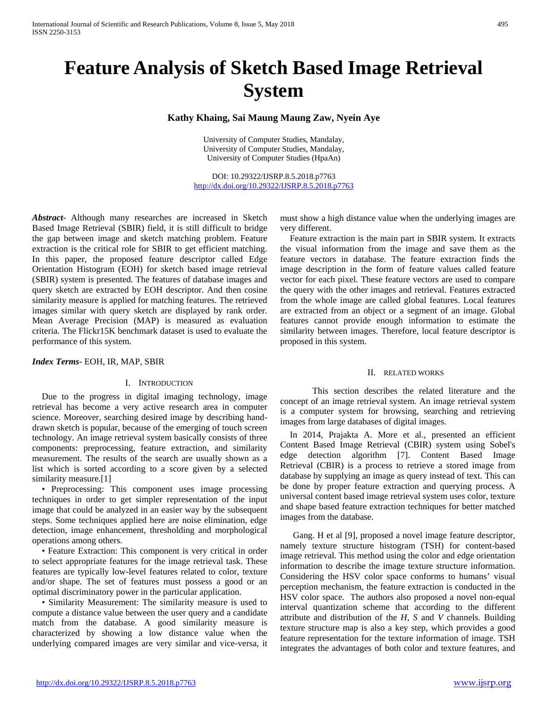# **Feature Analysis of Sketch Based Image Retrieval System**

# **Kathy Khaing, Sai Maung Maung Zaw, Nyein Aye**

University of Computer Studies, Mandalay, University of Computer Studies, Mandalay, University of Computer Studies (HpaAn)

DOI: 10.29322/IJSRP.8.5.2018.p7763 <http://dx.doi.org/10.29322/IJSRP.8.5.2018.p7763>

*Abstract***-** Although many researches are increased in Sketch Based Image Retrieval (SBIR) field, it is still difficult to bridge the gap between image and sketch matching problem. Feature extraction is the critical role for SBIR to get efficient matching. In this paper, the proposed feature descriptor called Edge Orientation Histogram (EOH) for sketch based image retrieval (SBIR) system is presented. The features of database images and query sketch are extracted by EOH descriptor. And then cosine similarity measure is applied for matching features. The retrieved images similar with query sketch are displayed by rank order. Mean Average Precision (MAP) is measured as evaluation criteria. The Flickr15K benchmark dataset is used to evaluate the performance of this system.

*Index Terms*- EOH, IR, MAP, SBIR

#### I. INTRODUCTION

Due to the progress in digital imaging technology, image retrieval has become a very active research area in computer science. Moreover, searching desired image by describing handdrawn sketch is popular, because of the emerging of touch screen technology. An image retrieval system basically consists of three components: preprocessing, feature extraction, and similarity measurement. The results of the search are usually shown as a list which is sorted according to a score given by a selected similarity measure.<sup>[1]</sup>

• Preprocessing: This component uses image processing techniques in order to get simpler representation of the input image that could be analyzed in an easier way by the subsequent steps. Some techniques applied here are noise elimination, edge detection, image enhancement, thresholding and morphological operations among others.

• Feature Extraction: This component is very critical in order to select appropriate features for the image retrieval task. These features are typically low-level features related to color, texture and/or shape. The set of features must possess a good or an optimal discriminatory power in the particular application.

• Similarity Measurement: The similarity measure is used to compute a distance value between the user query and a candidate match from the database. A good similarity measure is characterized by showing a low distance value when the underlying compared images are very similar and vice-versa, it

must show a high distance value when the underlying images are very different.

Feature extraction is the main part in SBIR system. It extracts the visual information from the image and save them as the feature vectors in database. The feature extraction finds the image description in the form of feature values called feature vector for each pixel. These feature vectors are used to compare the query with the other images and retrieval. Features extracted from the whole image are called global features. Local features are extracted from an object or a segment of an image. Global features cannot provide enough information to estimate the similarity between images. Therefore, local feature descriptor is proposed in this system.

#### II. RELATED WORKS

This section describes the related literature and the concept of an image retrieval system. An image retrieval system is a computer system for browsing, searching and retrieving images from large databases of digital images.

In 2014, Prajakta A. More et al., presented an efficient Content Based Image Retrieval (CBIR) system using Sobel's edge detection algorithm [7]. Content Based Image Retrieval (CBIR) is a process to retrieve a stored image from database by supplying an image as query instead of text. This can be done by proper feature extraction and querying process. A universal content based image retrieval system uses color, texture and shape based feature extraction techniques for better matched images from the database.

Gang. H et al [9], proposed a novel image feature descriptor, namely texture structure histogram (TSH) for content-based image retrieval. This method using the color and edge orientation information to describe the image texture structure information. Considering the HSV color space conforms to humans' visual perception mechanism, the feature extraction is conducted in the HSV color space. The authors also proposed a novel non-equal interval quantization scheme that according to the different attribute and distribution of the *H, S* and *V* channels. Building texture structure map is also a key step, which provides a good feature representation for the texture information of image. TSH integrates the advantages of both color and texture features, and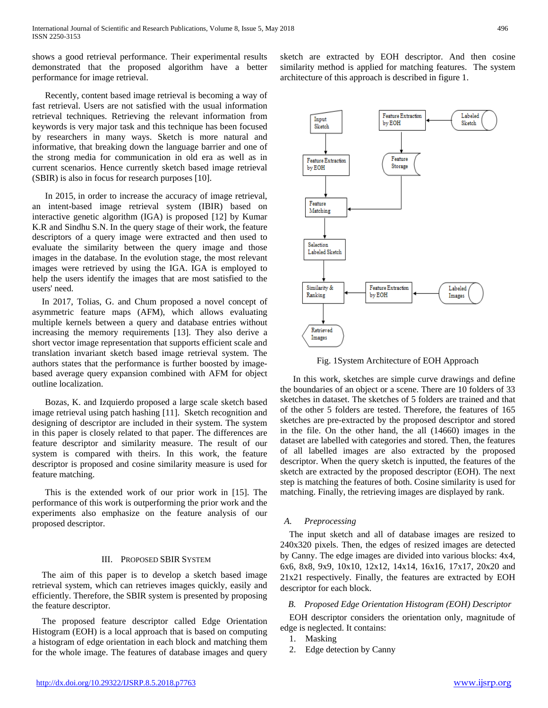shows a good retrieval performance. Their experimental results demonstrated that the proposed algorithm have a better performance for image retrieval.

Recently, content based image retrieval is becoming a way of fast retrieval. Users are not satisfied with the usual information retrieval techniques. Retrieving the relevant information from keywords is very major task and this technique has been focused by researchers in many ways. Sketch is more natural and informative, that breaking down the language barrier and one of the strong media for communication in old era as well as in current scenarios. Hence currently sketch based image retrieval (SBIR) is also in focus for research purposes [10].

In 2015, in order to increase the accuracy of image retrieval, an intent-based image retrieval system (IBIR) based on interactive genetic algorithm (IGA) is proposed [12] by Kumar K.R and Sindhu S.N. In the query stage of their work, the feature descriptors of a query image were extracted and then used to evaluate the similarity between the query image and those images in the database. In the evolution stage, the most relevant images were retrieved by using the IGA. IGA is employed to help the users identify the images that are most satisfied to the users' need.

In 2017, Tolias, G. and Chum proposed a novel concept of asymmetric feature maps (AFM), which allows evaluating multiple kernels between a query and database entries without increasing the memory requirements [13]. They also derive a short vector image representation that supports efficient scale and translation invariant sketch based image retrieval system. The authors states that the performance is further boosted by imagebased average query expansion combined with AFM for object outline localization.

Bozas, K. and Izquierdo proposed a large scale sketch based image retrieval using patch hashing [11]. Sketch recognition and designing of descriptor are included in their system. The system in this paper is closely related to that paper. The differences are feature descriptor and similarity measure. The result of our system is compared with theirs. In this work, the feature descriptor is proposed and cosine similarity measure is used for feature matching.

This is the extended work of our prior work in [15]. The performance of this work is outperforming the prior work and the experiments also emphasize on the feature analysis of our proposed descriptor.

## III. PROPOSED SBIR SYSTEM

The aim of this paper is to develop a sketch based image retrieval system, which can retrieves images quickly, easily and efficiently. Therefore, the SBIR system is presented by proposing the feature descriptor.

The proposed feature descriptor called Edge Orientation Histogram (EOH) is a local approach that is based on computing a histogram of edge orientation in each block and matching them for the whole image. The features of database images and query

sketch are extracted by EOH descriptor. And then cosine similarity method is applied for matching features. The system architecture of this approach is described in figure 1.



Fig. 1System Architecture of EOH Approach

In this work, sketches are simple curve drawings and define the boundaries of an object or a scene. There are 10 folders of 33 sketches in dataset. The sketches of 5 folders are trained and that of the other 5 folders are tested. Therefore, the features of 165 sketches are pre-extracted by the proposed descriptor and stored in the file. On the other hand, the all (14660) images in the dataset are labelled with categories and stored. Then, the features of all labelled images are also extracted by the proposed descriptor. When the query sketch is inputted, the features of the sketch are extracted by the proposed descriptor (EOH). The next step is matching the features of both. Cosine similarity is used for matching. Finally, the retrieving images are displayed by rank.

## *A. Preprocessing*

The input sketch and all of database images are resized to 240x320 pixels. Then, the edges of resized images are detected by Canny. The edge images are divided into various blocks: 4x4, 6x6, 8x8, 9x9, 10x10, 12x12, 14x14, 16x16, 17x17, 20x20 and 21x21 respectively. Finally, the features are extracted by EOH descriptor for each block.

## *B. Proposed Edge Orientation Histogram (EOH) Descriptor*

EOH descriptor considers the orientation only, magnitude of edge is neglected. It contains:

- 1. Masking
- 2. Edge detection by Canny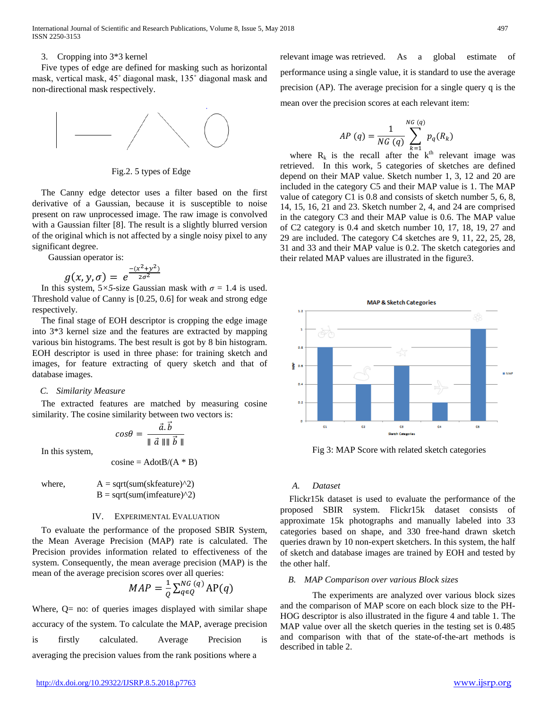## 3. Cropping into 3\*3 kernel

Five types of edge are defined for masking such as horizontal mask, vertical mask, 45˚ diagonal mask, 135˚ diagonal mask and non-directional mask respectively.



Fig.2. 5 types of Edge

The Canny edge detector uses a filter based on the first derivative of a Gaussian, because it is susceptible to noise present on raw unprocessed image. The raw image is convolved with a Gaussian filter [8]. The result is a slightly blurred version of the original which is not affected by a single noisy pixel to any significant degree.

Gaussian operator is:

$$
g(x, y, \sigma) = e^{\frac{-(x^2+y^2)}{2\sigma^2}}
$$

In this system,  $5 \times 5$ -size Gaussian mask with  $\sigma = 1.4$  is used. Threshold value of Canny is [0.25, 0.6] for weak and strong edge respectively.

The final stage of EOH descriptor is cropping the edge image into 3\*3 kernel size and the features are extracted by mapping various bin histograms. The best result is got by 8 bin histogram. EOH descriptor is used in three phase: for training sketch and images, for feature extracting of query sketch and that of database images.

# *C. Similarity Measure*

The extracted features are matched by measuring cosine similarity. The cosine similarity between two vectors is:

$$
cos\theta = \frac{\vec{a}.\vec{b}}{\parallel \vec{a} \parallel \parallel \vec{b} \parallel}
$$

In this system,

$$
cosine = AdotB/(A * B)
$$

where,  
\n
$$
A = sqrt(sum(skfeature)^{2})
$$
\n
$$
B = sqrt(sum(imfeature)^{2})
$$

## IV. EXPERIMENTAL EVALUATION

To evaluate the performance of the proposed SBIR System, the Mean Average Precision (MAP) rate is calculated. The Precision provides information related to effectiveness of the system. Consequently, the mean average precision (MAP) is the mean of the average precision scores over all queries:

$$
MAP = \frac{1}{Q} \sum_{q \in Q}^{NG\,(q)} AP(q)
$$

Where,  $Q=$  no: of queries images displayed with similar shape accuracy of the system. To calculate the MAP, average precision is firstly calculated. Average Precision is averaging the precision values from the rank positions where a

relevant image was retrieved. As a global estimate of performance using a single value, it is standard to use the average precision (AP). The average precision for a single query q is the mean over the precision scores at each relevant item:

$$
AP (q) = \frac{1}{NG (q)} \sum_{k=1}^{NG (q)} p_q(R_k)
$$

where  $R_k$  is the recall after the k<sup>th</sup> relevant image was retrieved. In this work, 5 categories of sketches are defined depend on their MAP value. Sketch number 1, 3, 12 and 20 are included in the category C5 and their MAP value is 1. The MAP value of category C1 is 0.8 and consists of sketch number 5, 6, 8, 14, 15, 16, 21 and 23. Sketch number 2, 4, and 24 are comprised in the category C3 and their MAP value is 0.6. The MAP value of C2 category is 0.4 and sketch number 10, 17, 18, 19, 27 and 29 are included. The category C4 sketches are 9, 11, 22, 25, 28, 31 and 33 and their MAP value is 0.2. The sketch categories and their related MAP values are illustrated in the figure3.



Fig 3: MAP Score with related sketch categories

# *A. Dataset*

Flickr15k dataset is used to evaluate the performance of the proposed SBIR system. Flickr15k dataset consists of approximate 15k photographs and manually labeled into 33 categories based on shape, and 330 free-hand drawn sketch queries drawn by 10 non-expert sketchers. In this system, the half of sketch and database images are trained by EOH and tested by the other half.

# *B. MAP Comparison over various Block sizes*

The experiments are analyzed over various block sizes and the comparison of MAP score on each block size to the PH-HOG descriptor is also illustrated in the figure 4 and table 1. The MAP value over all the sketch queries in the testing set is 0.485 and comparison with that of the state-of-the-art methods is described in table 2.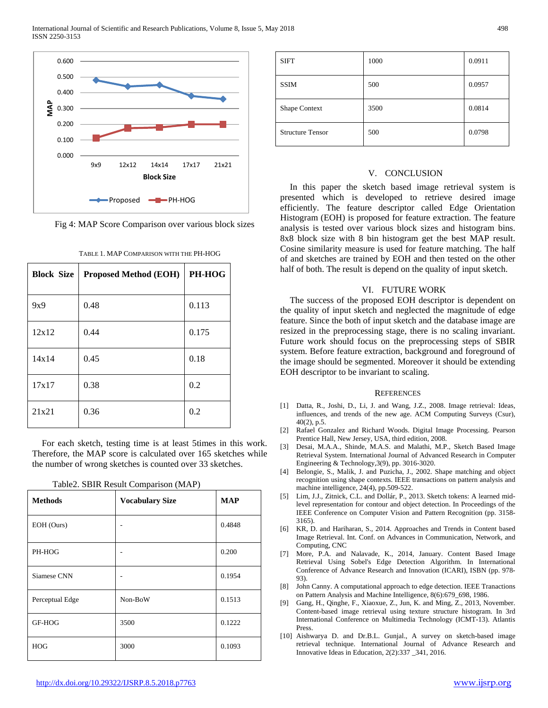

Fig 4: MAP Score Comparison over various block sizes

| <b>Block Size</b> | <b>Proposed Method (EOH)</b> | PH-HOG |
|-------------------|------------------------------|--------|
| 9x9               | 0.48                         | 0.113  |
| 12x12             | 0.44                         | 0.175  |
| 14x14             | 0.45                         | 0.18   |
| 17x17             | 0.38                         | 0.2    |
| 21x21             | 0.36                         | 0.2    |

For each sketch, testing time is at least 5times in this work. Therefore, the MAP score is calculated over 165 sketches while the number of wrong sketches is counted over 33 sketches.

| <b>Methods</b>  | <b>Vocabulary Size</b> | <b>MAP</b> |
|-----------------|------------------------|------------|
| EOH (Ours)      |                        | 0.4848     |
| PH-HOG          |                        | 0.200      |
| Siamese CNN     |                        | 0.1954     |
| Perceptual Edge | Non-BoW                | 0.1513     |
| GF-HOG          | 3500                   | 0.1222     |
| <b>HOG</b>      | 3000                   | 0.1093     |

Table2. SBIR Result Comparison (MAP)

| <b>SIFT</b>             | 1000 | 0.0911 |
|-------------------------|------|--------|
| <b>SSIM</b>             | 500  | 0.0957 |
| Shape Context           | 3500 | 0.0814 |
| <b>Structure Tensor</b> | 500  | 0.0798 |

#### V. CONCLUSION

In this paper the sketch based image retrieval system is presented which is developed to retrieve desired image efficiently. The feature descriptor called Edge Orientation Histogram (EOH) is proposed for feature extraction. The feature analysis is tested over various block sizes and histogram bins. 8x8 block size with 8 bin histogram get the best MAP result. Cosine similarity measure is used for feature matching. The half of and sketches are trained by EOH and then tested on the other half of both. The result is depend on the quality of input sketch.

## VI. FUTURE WORK

The success of the proposed EOH descriptor is dependent on the quality of input sketch and neglected the magnitude of edge feature. Since the both of input sketch and the database image are resized in the preprocessing stage, there is no scaling invariant. Future work should focus on the preprocessing steps of SBIR system. Before feature extraction, background and foreground of the image should be segmented. Moreover it should be extending EOH descriptor to be invariant to scaling.

#### **REFERENCES**

- [1] Datta, R., Joshi, D., Li, J. and Wang, J.Z., 2008. Image retrieval: Ideas, influences, and trends of the new age. ACM Computing Surveys (Csur), 40(2), p.5.
- [2] Rafael Gonzalez and Richard Woods. Digital Image Processing. Pearson Prentice Hall, New Jersey, USA, third edition, 2008.
- [3] Desai, M.A.A., Shinde, M.A.S. and Malathi, M.P., Sketch Based Image Retrieval System. International Journal of Advanced Research in Computer Engineering & Technology,3(9), pp. 3016-3020.
- [4] Belongie, S., Malik, J. and Puzicha, J., 2002. Shape matching and object recognition using shape contexts. IEEE transactions on pattern analysis and machine intelligence, 24(4), pp.509-522.
- [5] Lim, J.J., Zitnick, C.L. and Dollár, P., 2013. Sketch tokens: A learned midlevel representation for contour and object detection. In Proceedings of the IEEE Conference on Computer Vision and Pattern Recognition (pp. 3158- 3165).
- [6] KR, D. and Hariharan, S., 2014. Approaches and Trends in Content based Image Retrieval. Int. Conf. on Advances in Communication, Network, and Computing, CNC
- [7] More, P.A. and Nalavade, K., 2014, January. Content Based Image Retrieval Using Sobel's Edge Detection Algorithm. In International Conference of Advance Research and Innovation (ICARI), ISBN (pp. 978- 93).
- [8] John Canny. A computational approach to edge detection. IEEE Tranactions on Pattern Analysis and Machine Intelligence, 8(6):679\_698, 1986.
- [9] Gang, H., Qinghe, F., Xiaoxue, Z., Jun, K. and Ming, Z., 2013, November. Content-based image retrieval using texture structure histogram. In 3rd International Conference on Multimedia Technology (ICMT-13). Atlantis Press.
- [10] Aishwarya D. and Dr.B.L. Gunjal., A survey on sketch-based image retrieval technique. International Journal of Advance Research and Innovative Ideas in Education, 2(2):337 \_341, 2016.